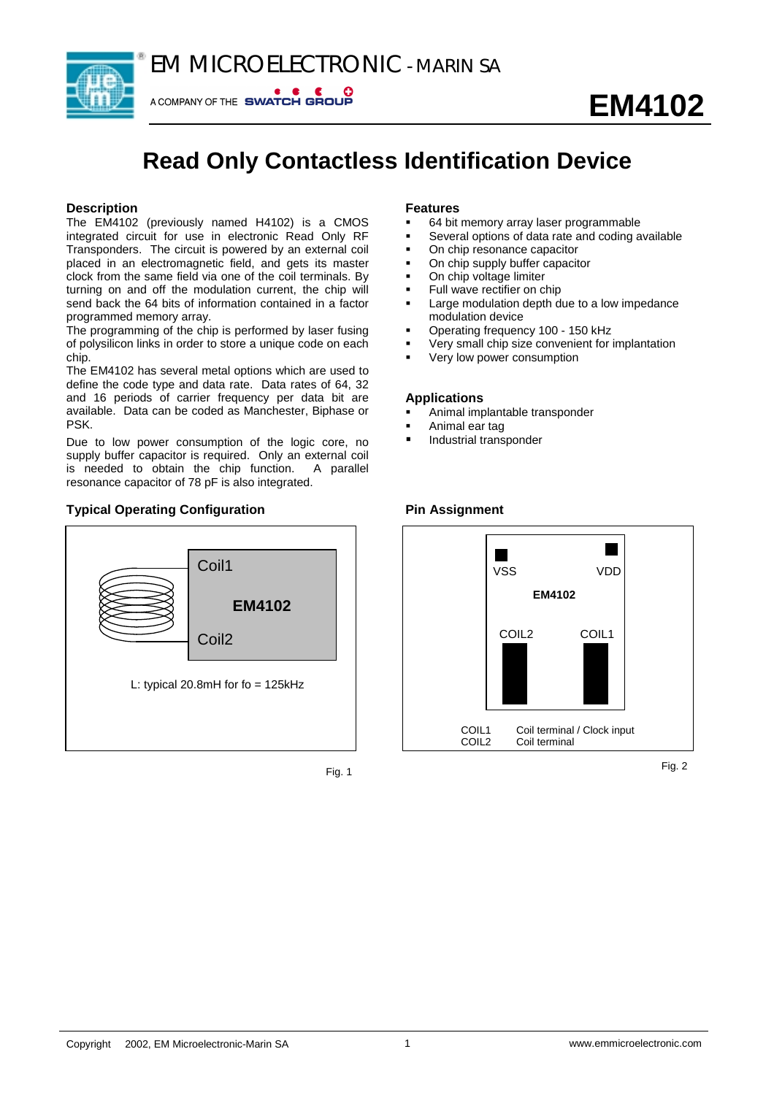



A COMPANY OF THE SWATCH GROUP

# **Read Only Contactless Identification Device**

#### **Description**

The EM4102 (previously named H4102) is a CMOS integrated circuit for use in electronic Read Only RF Transponders. The circuit is powered by an external coil placed in an electromagnetic field, and gets its master clock from the same field via one of the coil terminals. By turning on and off the modulation current, the chip will send back the 64 bits of information contained in a factor programmed memory array.

The programming of the chip is performed by laser fusing of polysilicon links in order to store a unique code on each chip.

The EM4102 has several metal options which are used to define the code type and data rate. Data rates of 64, 32 and 16 periods of carrier frequency per data bit are available. Data can be coded as Manchester, Biphase or PSK.

Due to low power consumption of the logic core, no supply buffer capacitor is required. Only an external coil is needed to obtain the chip function. A parallel resonance capacitor of 78 pF is also integrated.

### **Typical Operating Configuration**



Fig. 1

#### **Features**

- 64 bit memory array laser programmable
- Several options of data rate and coding available
- On chip resonance capacitor
- On chip supply buffer capacitor
- On chip voltage limiter
- Full wave rectifier on chip
- Large modulation depth due to a low impedance modulation device
- Operating frequency 100 150 kHz
- Very small chip size convenient for implantation
- Very low power consumption

#### **Applications**

- Animal implantable transponder
- Animal ear tag
- Industrial transponder

#### **Pin Assignment**



Fig. 2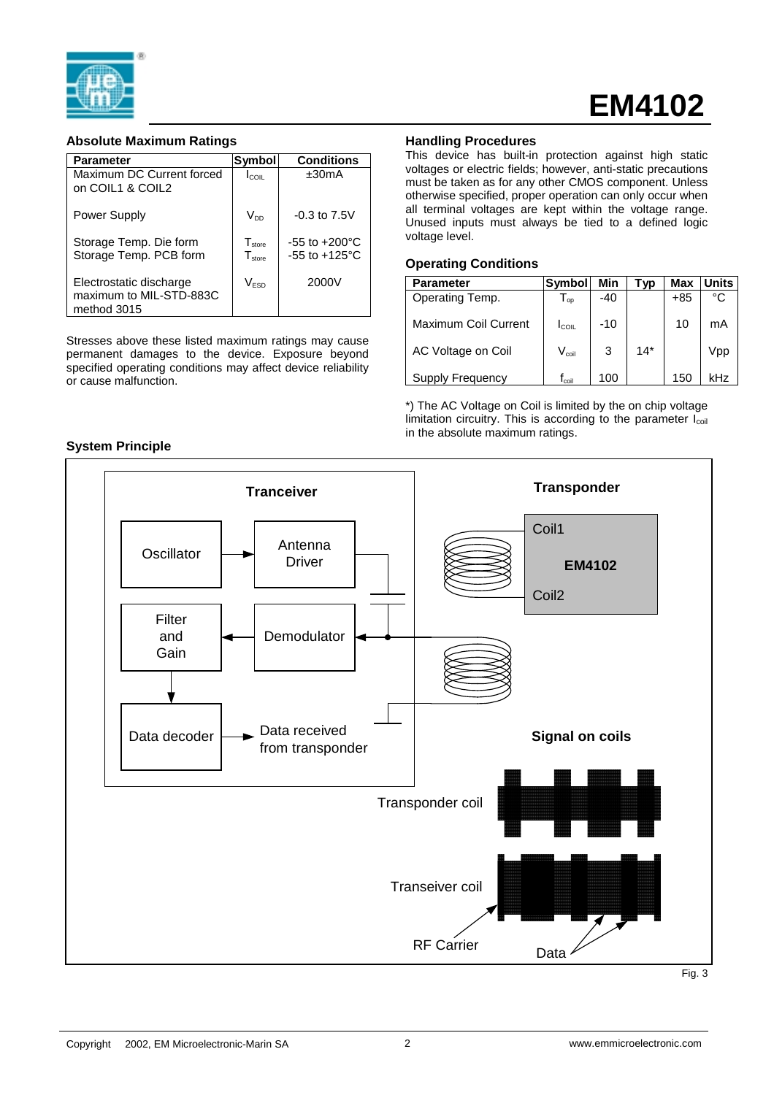

# **EM4102**

#### **Absolute Maximum Ratings**

| <b>Parameter</b>                                                  | Symbol                                   | <b>Conditions</b>                                      |
|-------------------------------------------------------------------|------------------------------------------|--------------------------------------------------------|
| Maximum DC Current forced<br>on COIL1 & COIL2                     | $I_{\rm COL}$                            | $+30mA$                                                |
| <b>Power Supply</b>                                               | Voo                                      | $-0.3$ to $7.5V$                                       |
| Storage Temp. Die form<br>Storage Temp. PCB form                  | T <sub>store</sub><br>$T_{\text{store}}$ | $-55$ to $+200^{\circ}$ C<br>$-55$ to $+125^{\circ}$ C |
| Electrostatic discharge<br>maximum to MIL-STD-883C<br>method 3015 | Vesn                                     | 2000V                                                  |

Stresses above these listed maximum ratings may cause permanent damages to the device. Exposure beyond specified operating conditions may affect device reliability or cause malfunction.

#### **Handling Procedures**

This device has built-in protection against high static voltages or electric fields; however, anti-static precautions must be taken as for any other CMOS component. Unless otherwise specified, proper operation can only occur when all terminal voltages are kept within the voltage range. Unused inputs must always be tied to a defined logic voltage level.

#### **Operating Conditions**

| <b>Parameter</b>            | <b>Symbol</b>                | Min | Гvр   | Max   | Units |
|-----------------------------|------------------------------|-----|-------|-------|-------|
| Operating Temp.             | $\mathsf{I}_{\mathsf{op}}$   | -40 |       | $+85$ | °C    |
| <b>Maximum Coil Current</b> | $I_{\rm COL}$                | -10 |       | 10    | mA    |
| AC Voltage on Coil          | $\mathsf{V}_{\mathsf{coil}}$ | 3   | $14*$ |       | Vpp   |
| Supply Frequency            | $\mathsf{f}_\mathsf{coil}$   | 100 |       | 150   | kHz   |

\*) The AC Voltage on Coil is limited by the on chip voltage limitation circuitry. This is according to the parameter  $I_{coil}$ in the absolute maximum ratings.



#### **System Principle**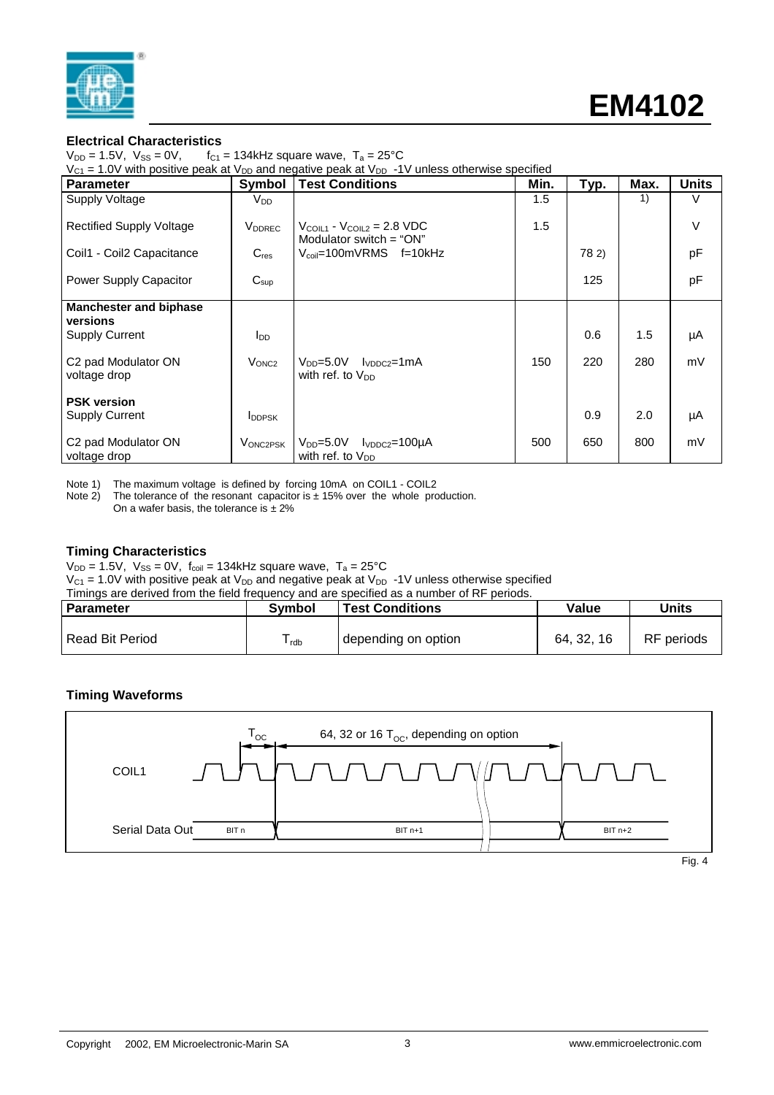

#### **Electrical Characteristics**

 $V_{DD} = 1.5V$ ,  $V_{SS} = 0V$ ,  $f_{C1} = 134kHz$  square wave,  $T_a = 25^{\circ}C$ 

 $V_{C1}$  = 1.0V with positive peak at  $V_{DD}$  and negative peak at  $V_{DD}$  -1V unless otherwise specified

| Parameter                         | Symbol                    | <b>Test Conditions</b>                                                       | Min. | Typ.  | Max. | <b>Units</b> |
|-----------------------------------|---------------------------|------------------------------------------------------------------------------|------|-------|------|--------------|
| <b>Supply Voltage</b>             | $V_{DD}$                  |                                                                              | 1.5  |       | 1)   | V            |
| <b>Rectified Supply Voltage</b>   | <b>V</b> <sub>DDREC</sub> | $V_{\text{COL1}}$ - $V_{\text{COL2}}$ = 2.8 VDC<br>Modulator switch $=$ "ON" | 1.5  |       |      | $\vee$       |
| Coil1 - Coil2 Capacitance         | $C_{res}$                 | $V_{\text{coil}}$ =100mVRMS f=10kHz                                          |      | 78 2) |      | pF           |
| Power Supply Capacitor            | $C_{\text{sup}}$          |                                                                              |      | 125   |      | pF           |
| <b>Manchester and biphase</b>     |                           |                                                                              |      |       |      |              |
| versions<br><b>Supply Current</b> | $I_{DD}$                  |                                                                              |      | 0.6   | 1.5  | μA           |
|                                   |                           |                                                                              |      |       |      |              |
| C <sub>2</sub> pad Modulator ON   | V <sub>ONC2</sub>         | $V_{DD} = 5.0V$ $V_{DDC2} = 1mA$                                             | 150  | 220   | 280  | mV           |
| voltage drop                      |                           | with ref. to $V_{DD}$                                                        |      |       |      |              |
| <b>PSK version</b>                |                           |                                                                              |      |       |      |              |
| <b>Supply Current</b>             | <b>IDDPSK</b>             |                                                                              |      | 0.9   | 2.0  | μA           |
|                                   |                           |                                                                              |      |       |      |              |
| C <sub>2</sub> pad Modulator ON   | VONC2PSK                  | $V_{DD} = 5.0V$ $V_{DDC2} = 100\mu A$                                        | 500  | 650   | 800  | mV           |
| voltage drop                      |                           | with ref. to V <sub>DD</sub>                                                 |      |       |      |              |

Note 1) The maximum voltage is defined by forcing  $10 \text{ mA}$  on COIL1 - COIL2<br>Note 2) The tolerance of the resonant capacitor is  $\pm 15\%$  over the whole pro

The tolerance of the resonant capacitor is  $\pm$  15% over the whole production.

On a wafer basis, the tolerance is  $\pm 2\%$ 

#### **Timing Characteristics**

 $V_{DD} = 1.5V$ ,  $V_{SS} = 0V$ ,  $f_{coil} = 134kHz$  square wave,  $T_a = 25°C$ 

 $V_{C1}$  = 1.0V with positive peak at  $V_{DD}$  and negative peak at  $V_{DD}$  -1V unless otherwise specified

| Timings are derived from the field frequency and are specified as a number of RF periods. |                                                           |                     |          |            |  |  |  |  |
|-------------------------------------------------------------------------------------------|-----------------------------------------------------------|---------------------|----------|------------|--|--|--|--|
| l Parameter                                                                               | Units<br>Value<br><b>Test Conditions</b><br><b>Symbol</b> |                     |          |            |  |  |  |  |
|                                                                                           |                                                           |                     |          |            |  |  |  |  |
| Read Bit Period                                                                           | <sup>l</sup> rdb                                          | depending on option | 64.32.16 | RF periods |  |  |  |  |

#### **Timing Waveforms**

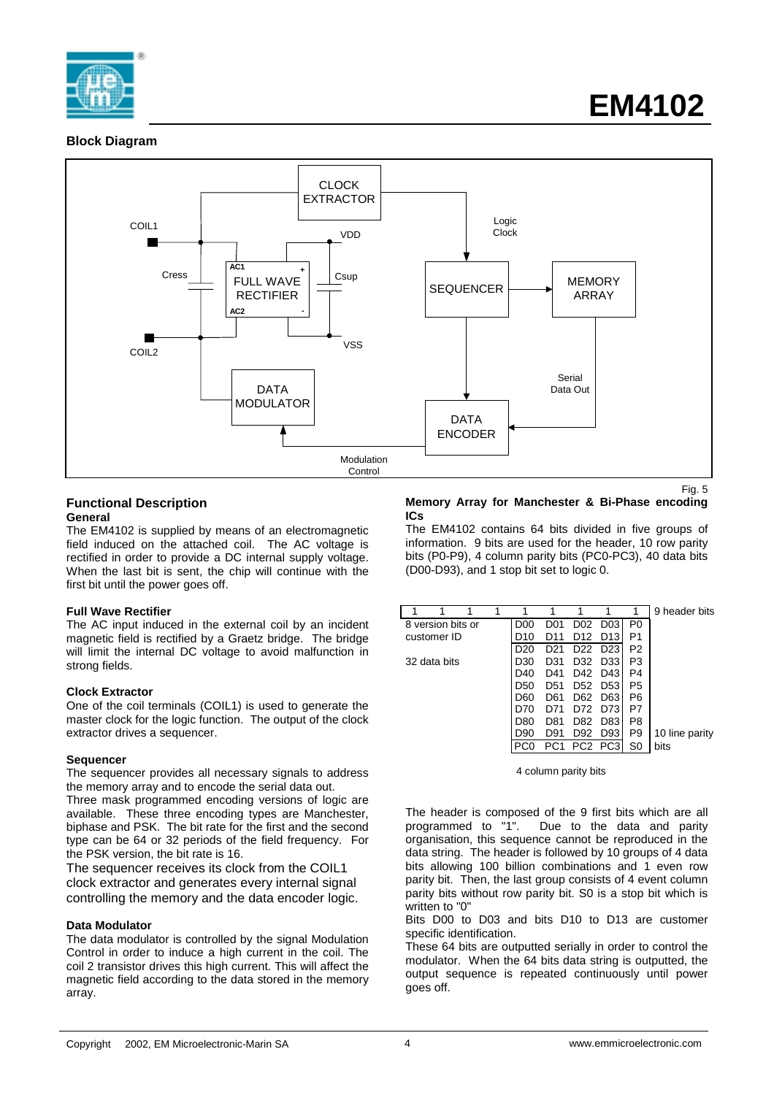

#### **Block Diagram**



#### **Functional Description General**

The EM4102 is supplied by means of an electromagnetic field induced on the attached coil. The AC voltage is rectified in order to provide a DC internal supply voltage. When the last bit is sent, the chip will continue with the first bit until the power goes off.

#### **Full Wave Rectifier**

The AC input induced in the external coil by an incident magnetic field is rectified by a Graetz bridge. The bridge will limit the internal DC voltage to avoid malfunction in strong fields.

#### **Clock Extractor**

One of the coil terminals (COIL1) is used to generate the master clock for the logic function. The output of the clock extractor drives a sequencer.

#### **Sequencer**

The sequencer provides all necessary signals to address the memory array and to encode the serial data out.

Three mask programmed encoding versions of logic are available. These three encoding types are Manchester, biphase and PSK. The bit rate for the first and the second type can be 64 or 32 periods of the field frequency. For the PSK version, the bit rate is 16.

The sequencer receives its clock from the COIL1 clock extractor and generates every internal signal controlling the memory and the data encoder logic.

#### **Data Modulator**

The data modulator is controlled by the signal Modulation Control in order to induce a high current in the coil. The coil 2 transistor drives this high current. This will affect the magnetic field according to the data stored in the memory array.

#### **Memory Array for Manchester & Bi-Phase encoding ICs**

The EM4102 contains 64 bits divided in five groups of information. 9 bits are used for the header, 10 row parity bits (P0-P9), 4 column parity bits (PC0-PC3), 40 data bits (D00-D93), and 1 stop bit set to logic 0.

|                   |  |                 |                 |                  |                  |                | 9 header bits  |
|-------------------|--|-----------------|-----------------|------------------|------------------|----------------|----------------|
| 8 version bits or |  | D <sub>00</sub> | D01             | D <sub>0</sub> 2 | D <sub>0</sub> 3 | P <sub>0</sub> |                |
| customer ID       |  | D10             | D11             | D <sub>12</sub>  | D <sub>13</sub>  | P1             |                |
|                   |  | D20             | D21             | D <sub>22</sub>  | D <sub>23</sub>  | P <sub>2</sub> |                |
| 32 data bits      |  | D30             | D31             | D32              | D33              | P3             |                |
|                   |  | D40             | D41             | D42              | D43              | P4             |                |
|                   |  | D50             | D51             | D <sub>52</sub>  | D <sub>53</sub>  | P <sub>5</sub> |                |
|                   |  | D60             | D61             | D62              | D <sub>63</sub>  | P6             |                |
|                   |  |                 | D71             | 772              | D73              | P7             |                |
|                   |  | D80             | D81             | D82              | D83              | P8             |                |
|                   |  | D90             | D91             | D <sub>92</sub>  | D93              | P <sub>9</sub> | 10 line parity |
|                   |  |                 | PC <sub>1</sub> | PC <sub>2</sub>  | PC <sub>3</sub>  | S0             | bits           |
|                   |  |                 |                 |                  |                  |                |                |

4 column parity bits

The header is composed of the 9 first bits which are all programmed to "1". Due to the data and parity organisation, this sequence cannot be reproduced in the data string. The header is followed by 10 groups of 4 data bits allowing 100 billion combinations and 1 even row parity bit. Then, the last group consists of 4 event column parity bits without row parity bit. S0 is a stop bit which is written to "0"

Bits D00 to D03 and bits D10 to D13 are customer specific identification.

These 64 bits are outputted serially in order to control the modulator. When the 64 bits data string is outputted, the output sequence is repeated continuously until power goes off.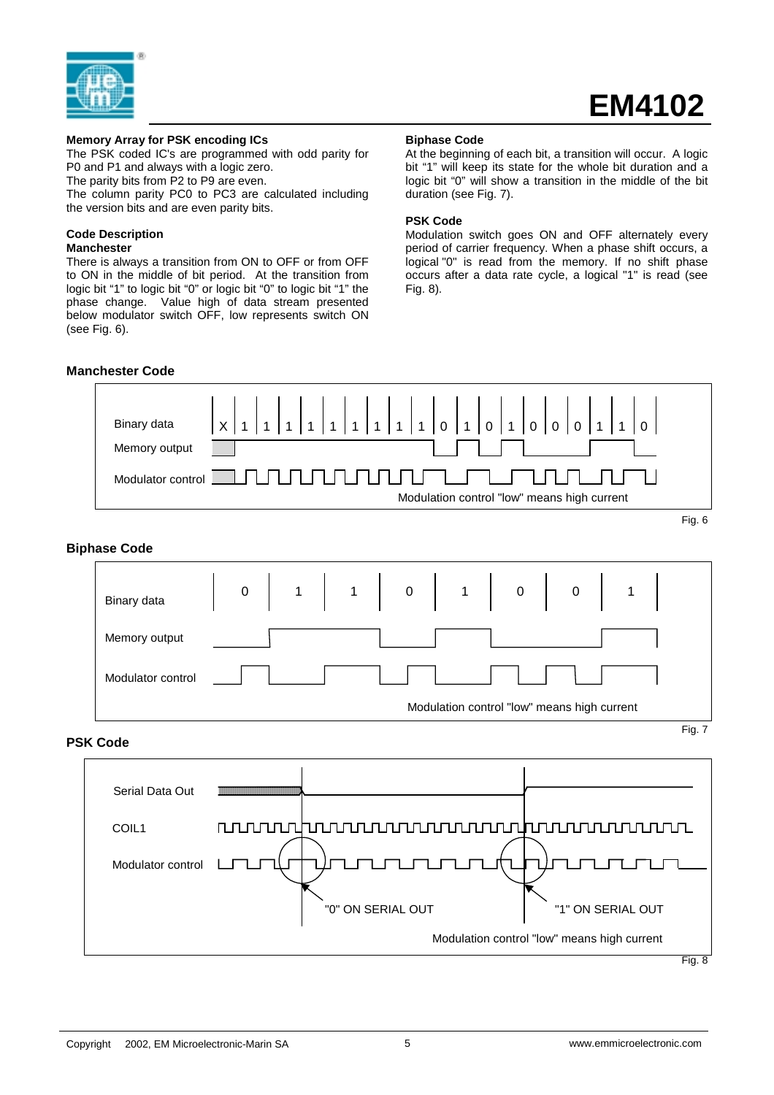

# **EM4102**

#### **Memory Array for PSK encoding ICs**

The PSK coded IC's are programmed with odd parity for P0 and P1 and always with a logic zero.

The parity bits from P2 to P9 are even.

The column parity PC0 to PC3 are calculated including the version bits and are even parity bits.

# **Code Description**

**Manchester**

There is always a transition from ON to OFF or from OFF to ON in the middle of bit period. At the transition from logic bit "1" to logic bit "0" or logic bit "0" to logic bit "1" the phase change. Value high of data stream presented below modulator switch OFF, low represents switch ON (see Fig. 6).

#### **Manchester Code**

#### **Biphase Code**

At the beginning of each bit, a transition will occur. A logic bit "1" will keep its state for the whole bit duration and a logic bit "0" will show a transition in the middle of the bit duration (see Fig. 7).

#### **PSK Code**

Modulation switch goes ON and OFF alternately every period of carrier frequency. When a phase shift occurs, a logical "0" is read from the memory. If no shift phase occurs after a data rate cycle, a logical "1" is read (see Fig. 8).



"0" ON SERIAL OUT 
<sup>"1"</sup> ON SERIAL OUT

Modulation control "low" means high current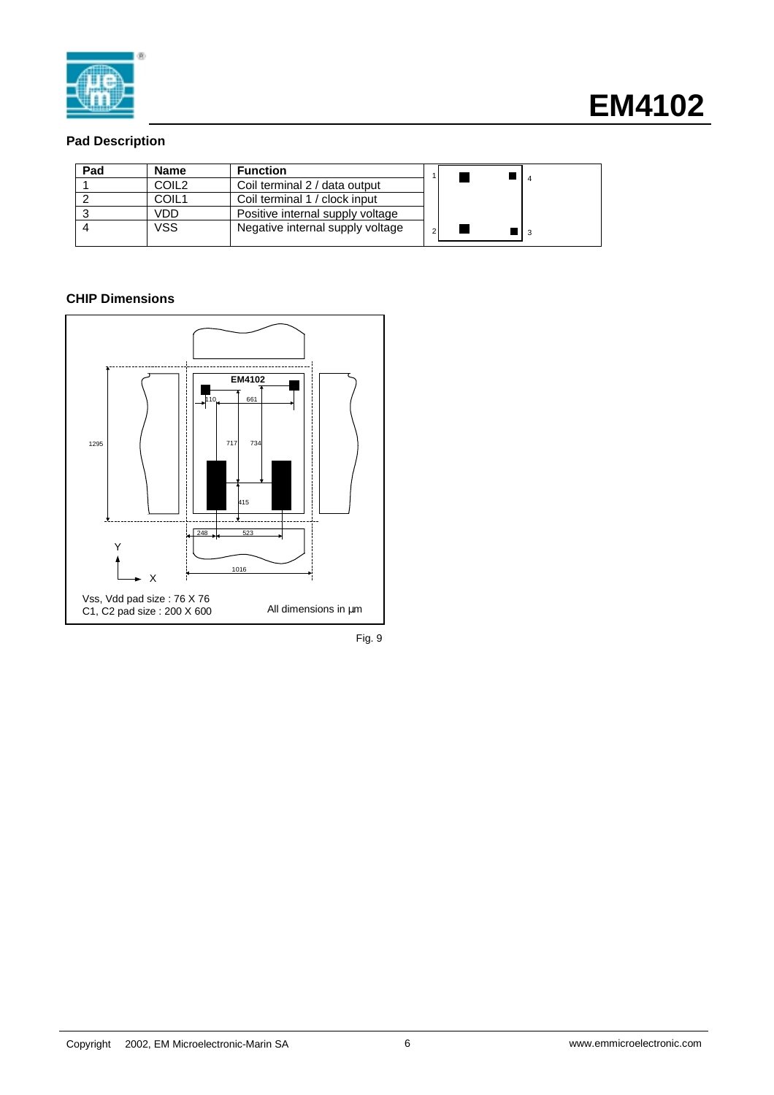

### **Pad Description**

| Pad | <b>Name</b> | <b>Function</b>                  |  |  |  |
|-----|-------------|----------------------------------|--|--|--|
|     | COIL2       | Coil terminal 2 / data output    |  |  |  |
|     | COIL1       | Coil terminal 1 / clock input    |  |  |  |
|     | VDD         | Positive internal supply voltage |  |  |  |
|     | VSS         | Negative internal supply voltage |  |  |  |

## **CHIP Dimensions**



Fig. 9